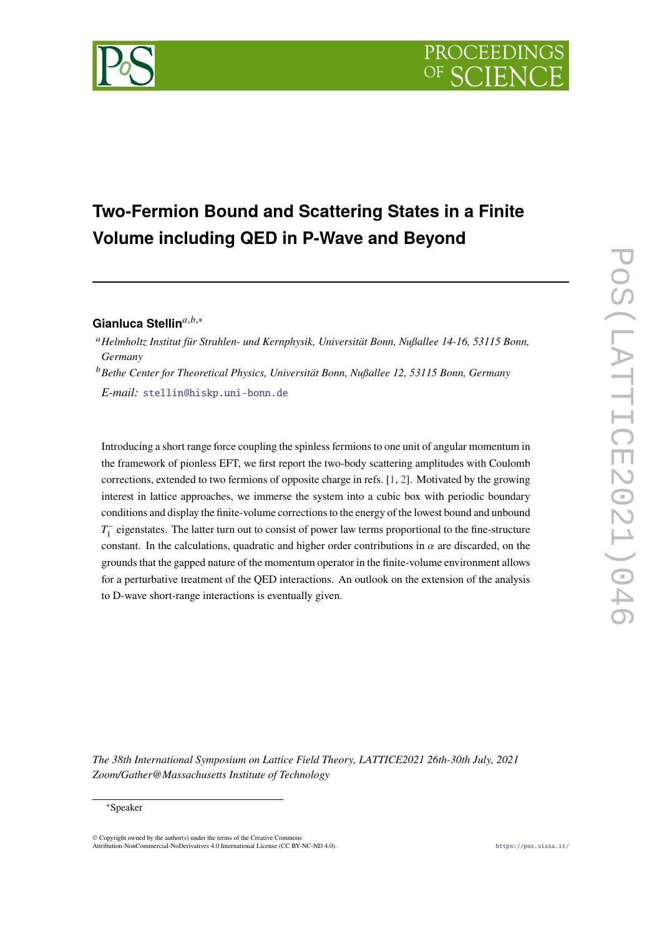# **Two-Fermion Bound and Scattering States in a Finite Volume including QED in P-Wave and Beyond**

# Gianluca Stellin<sup>a,b,∗</sup>

*Helmholtz Institut für Strahlen- und Kernphysik, Universität Bonn, Nußallee 14-16, 53115 Bonn, Germany*

*Bethe Center for Theoretical Physics, Universität Bonn, Nußallee 12, 53115 Bonn, Germany E-mail:* [stellin@hiskp.uni-bonn.de](mailto:stellin@hiskp.uni-bonn.de)

Introducing a short range force coupling the spinless fermions to one unit of angular momentum in the framework of pionless EFT, we first report the two-body scattering amplitudes with Coulomb corrections, extended to two fermions of opposite charge in refs. [\[1,](#page-9-0) [2\]](#page-9-1). Motivated by the growing interest in lattice approaches, we immerse the system into a cubic box with periodic boundary conditions and display the finite-volume corrections to the energy of the lowest bound and unbound  $T_1^-$  eigenstates. The latter turn out to consist of power law terms proportional to the fine-structure constant. In the calculations, quadratic and higher order contributions in  $\alpha$  are discarded, on the grounds that the gapped nature of the momentum operator in the finite-volume environment allows for a perturbative treatment of the QED interactions. An outlook on the extension of the analysis to D-wave short-range interactions is eventually given.

*The 38th International Symposium on Lattice Field Theory, LATTICE2021 26th-30th July, 2021 Zoom/Gather@Massachusetts Institute of Technology*

### <sup>∗</sup>Speaker

 $\odot$  Copyright owned by the author(s) under the terms of the Creative Common Attribution-NonCommercial-NoDerivatives 4.0 International License (CC BY-NC-ND 4.0). <https://pos.sissa.it/>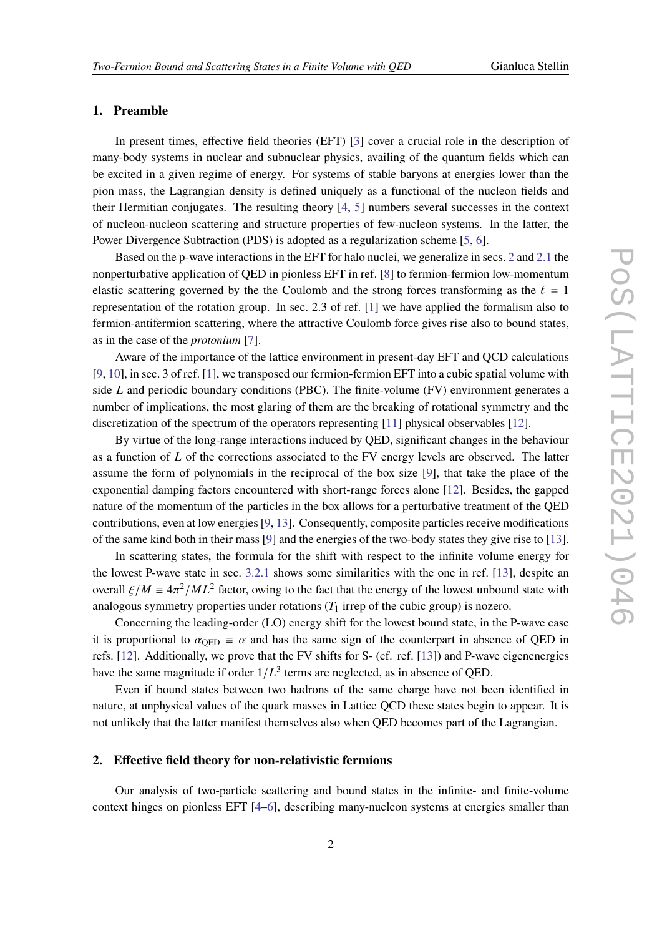### **1. Preamble**

In present times, effective field theories (EFT) [\[3\]](#page-9-2) cover a crucial role in the description of many-body systems in nuclear and subnuclear physics, availing of the quantum fields which can be excited in a given regime of energy. For systems of stable baryons at energies lower than the pion mass, the Lagrangian density is defined uniquely as a functional of the nucleon fields and their Hermitian conjugates. The resulting theory [\[4,](#page-9-3) [5\]](#page-9-4) numbers several successes in the context of nucleon-nucleon scattering and structure properties of few-nucleon systems. In the latter, the Power Divergence Subtraction (PDS) is adopted as a regularization scheme [\[5,](#page-9-4) [6\]](#page-9-5).

Based on the p-wave interactions in the EFT for halo nuclei, we generalize in secs. [2](#page-1-0) and [2.1](#page-3-0) the nonperturbative application of QED in pionless EFT in ref. [\[8\]](#page-10-0) to fermion-fermion low-momentum elastic scattering governed by the the Coulomb and the strong forces transforming as the  $\ell = 1$ representation of the rotation group. In sec. 2.3 of ref. [\[1\]](#page-9-0) we have applied the formalism also to fermion-antifermion scattering, where the attractive Coulomb force gives rise also to bound states, as in the case of the *protonium* [\[7\]](#page-10-1).

Aware of the importance of the lattice environment in present-day EFT and QCD calculations [\[9,](#page-10-2) [10\]](#page-10-3), in sec. 3 of ref. [\[1\]](#page-9-0), we transposed our fermion-fermion EFT into a cubic spatial volume with side  $L$  and periodic boundary conditions (PBC). The finite-volume (FV) environment generates a number of implications, the most glaring of them are the breaking of rotational symmetry and the discretization of the spectrum of the operators representing [\[11\]](#page-10-4) physical observables [\[12\]](#page-10-5).

By virtue of the long-range interactions induced by QED, significant changes in the behaviour as a function of  $L$  of the corrections associated to the FV energy levels are observed. The latter assume the form of polynomials in the reciprocal of the box size [\[9\]](#page-10-2), that take the place of the exponential damping factors encountered with short-range forces alone [\[12\]](#page-10-5). Besides, the gapped nature of the momentum of the particles in the box allows for a perturbative treatment of the QED contributions, even at low energies [\[9,](#page-10-2) [13\]](#page-10-6). Consequently, composite particles receive modifications of the same kind both in their mass [\[9\]](#page-10-2) and the energies of the two-body states they give rise to [\[13\]](#page-10-6).

In scattering states, the formula for the shift with respect to the infinite volume energy for the lowest P-wave state in sec. [3.2.1](#page-7-0) shows some similarities with the one in ref. [\[13\]](#page-10-6), despite an overall  $\xi / M \equiv 4\pi^2 / ML^2$  factor, owing to the fact that the energy of the lowest unbound state with analogous symmetry properties under rotations  $(T_1$  irrep of the cubic group) is nozero.

Concerning the leading-order (LO) energy shift for the lowest bound state, in the P-wave case it is proportional to  $\alpha_{\text{OFD}} \equiv \alpha$  and has the same sign of the counterpart in absence of OED in refs. [\[12\]](#page-10-5). Additionally, we prove that the FV shifts for S- (cf. ref. [\[13\]](#page-10-6)) and P-wave eigenenergies have the same magnitude if order  $1/L^3$  terms are neglected, as in absence of QED.

Even if bound states between two hadrons of the same charge have not been identified in nature, at unphysical values of the quark masses in Lattice QCD these states begin to appear. It is not unlikely that the latter manifest themselves also when QED becomes part of the Lagrangian.

# <span id="page-1-0"></span>**2. Effective field theory for non-relativistic fermions**

Our analysis of two-particle scattering and bound states in the infinite- and finite-volume context hinges on pionless EFT [\[4](#page-9-3)[–6\]](#page-9-5), describing many-nucleon systems at energies smaller than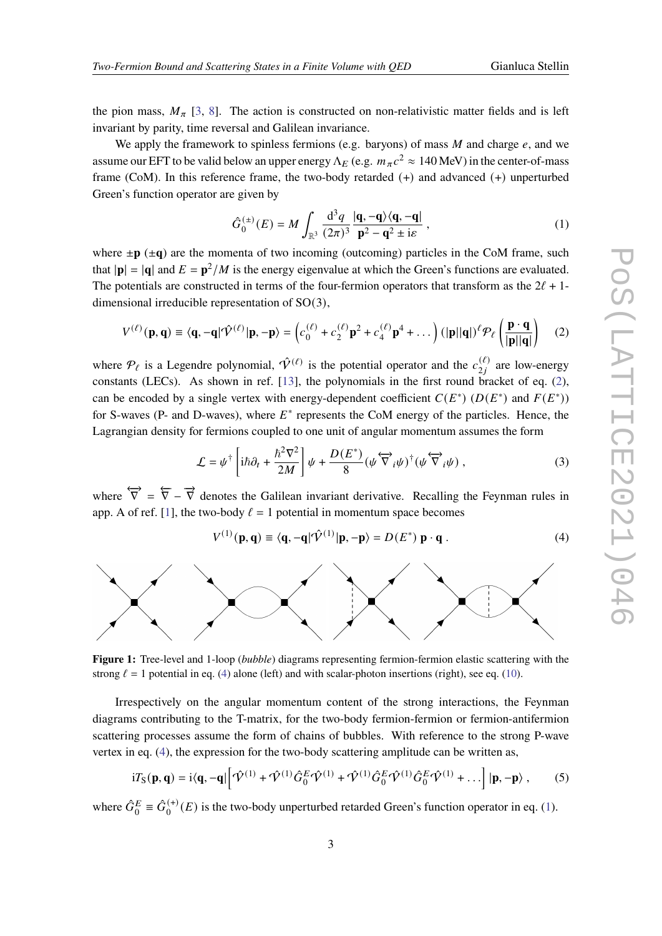the pion mass,  $M_{\pi}$  [\[3,](#page-9-2) [8\]](#page-10-0). The action is constructed on non-relativistic matter fields and is left invariant by parity, time reversal and Galilean invariance.

We apply the framework to spinless fermions (e.g. baryons) of mass  $M$  and charge  $e$ , and we assume our EFT to be valid below an upper energy  $\Lambda_E$  (e.g.  $m_{\pi}c^2 \approx 140$  MeV) in the center-of-mass frame (CoM). In this reference frame, the two-body retarded (+) and advanced (+) unperturbed Green's function operator are given by

<span id="page-2-2"></span>
$$
\hat{G}_0^{(\pm)}(E) = M \int_{\mathbb{R}^3} \frac{\mathrm{d}^3 q}{(2\pi)^3} \frac{|\mathbf{q}, -\mathbf{q}\rangle \langle \mathbf{q}, -\mathbf{q}|}{\mathbf{p}^2 - \mathbf{q}^2 \pm i\varepsilon} ,\qquad (1)
$$

where  $\pm \mathbf{p}$  ( $\pm \mathbf{q}$ ) are the momenta of two incoming (outcoming) particles in the CoM frame, such that  $|\mathbf{p}| = |\mathbf{q}|$  and  $E = \mathbf{p}^2/M$  is the energy eigenvalue at which the Green's functions are evaluated. The potentials are constructed in terms of the four-fermion operators that transform as the  $2\ell + 1$ dimensional irreducible representation of SO(3),

<span id="page-2-0"></span>
$$
V^{(\ell)}(\mathbf{p}, \mathbf{q}) \equiv \langle \mathbf{q}, -\mathbf{q} | \hat{\mathcal{V}}^{(\ell)} | \mathbf{p}, -\mathbf{p} \rangle = \left( c_0^{(\ell)} + c_2^{(\ell)} \mathbf{p}^2 + c_4^{(\ell)} \mathbf{p}^4 + \dots \right) (|\mathbf{p}||\mathbf{q}|)^{\ell} \mathcal{P}_{\ell} \left( \frac{\mathbf{p} \cdot \mathbf{q}}{|\mathbf{p}||\mathbf{q}|} \right) \tag{2}
$$

where  $\mathcal{P}_{\ell}$  is a Legendre polynomial,  $\hat{\mathcal{V}}^{(\ell)}$  is the potential operator and the  $c_{2i}^{(\ell)}$  $\chi^{(\ell)}_{2j}$  are low-energy constants (LECs). As shown in ref. [\[13\]](#page-10-6), the polynomials in the first round bracket of eq. [\(2\)](#page-2-0), can be encoded by a single vertex with energy-dependent coefficient  $C(E^*)$   $(D(E^*)$  and  $F(E^*))$ for S-waves (P- and D-waves), where  $E^*$  represents the CoM energy of the particles. Hence, the Lagrangian density for fermions coupled to one unit of angular momentum assumes the form

<span id="page-2-3"></span>
$$
\mathcal{L} = \psi^{\dagger} \left[ i\hbar \partial_t + \frac{\hbar^2 \nabla^2}{2M} \right] \psi + \frac{D(E^*)}{8} (\psi \overleftrightarrow{\nabla}_i \psi)^{\dagger} (\psi \overleftrightarrow{\nabla}_i \psi) , \qquad (3)
$$

where  $\overleftrightarrow{\nabla} = \overleftrightarrow{\nabla} - \overrightarrow{\nabla}$  denotes the Galilean invariant derivative. Recalling the Feynman rules in app. A of ref. [\[1\]](#page-9-0), the two-body  $\ell = 1$  potential in momentum space becomes

<span id="page-2-1"></span>
$$
V^{(1)}(\mathbf{p}, \mathbf{q}) \equiv \langle \mathbf{q}, -\mathbf{q} | \hat{\mathcal{V}}^{(1)} | \mathbf{p}, -\mathbf{p} \rangle = D(E^*) \mathbf{p} \cdot \mathbf{q} . \tag{4}
$$

<span id="page-2-4"></span>

**Figure 1:** Tree-level and 1-loop (*bubble*) diagrams representing fermion-fermion elastic scattering with the strong  $\ell = 1$  potential in eq. [\(4\)](#page-2-1) alone (left) and with scalar-photon insertions (right), see eq. [\(10\)](#page-3-1).

Irrespectively on the angular momentum content of the strong interactions, the Feynman diagrams contributing to the T-matrix, for the two-body fermion-fermion or fermion-antifermion scattering processes assume the form of chains of bubbles. With reference to the strong P-wave vertex in eq. [\(4\)](#page-2-1), the expression for the two-body scattering amplitude can be written as,

<span id="page-2-5"></span>
$$
i T_S(\mathbf{p}, \mathbf{q}) = i \langle \mathbf{q}, -\mathbf{q} | \left[ \hat{\mathbf{\mathcal{V}}}^{(1)} + \hat{\mathbf{\mathcal{V}}}^{(1)} \hat{G}_0^E \hat{\mathbf{\mathcal{V}}}^{(1)} + \hat{\mathbf{\mathcal{V}}}^{(1)} \hat{G}_0^E \hat{\mathbf{\mathcal{V}}}^{(1)} \hat{G}_0^E \hat{\mathbf{\mathcal{V}}}^{(1)} + \dots \right] |\mathbf{p}, -\mathbf{p} \rangle , \qquad (5)
$$

where  $\hat{G}_0^E \equiv \hat{G}_0^{(+)}$  $O_0^{(+)}(E)$  is the two-body unperturbed retarded Green's function operator in eq. [\(1\)](#page-2-2).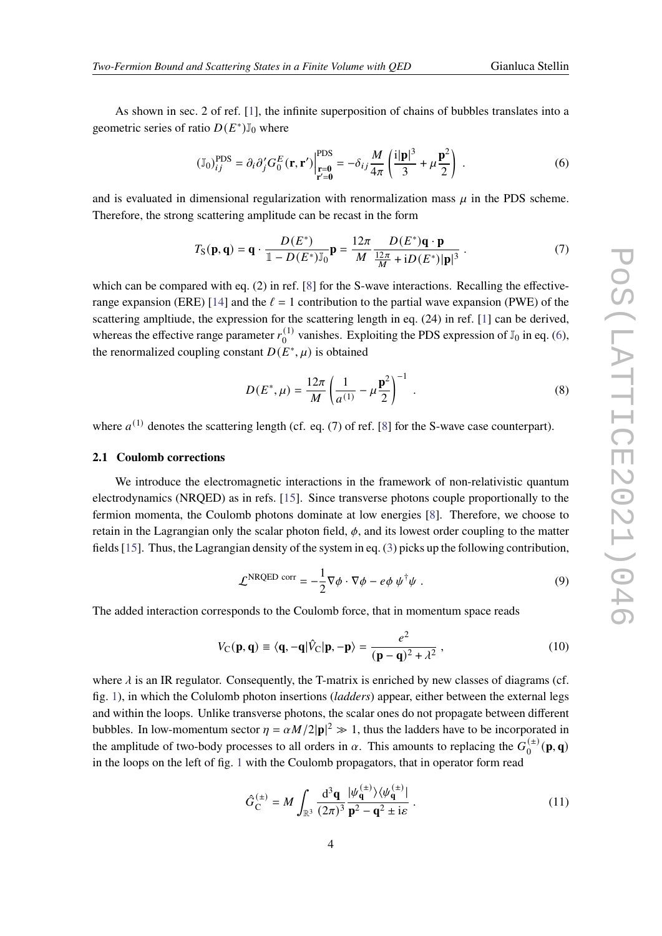As shown in sec. 2 of ref. [\[1\]](#page-9-0), the infinite superposition of chains of bubbles translates into a geometric series of ratio  $D(E^*)\mathbb{J}_0$  where

<span id="page-3-2"></span>
$$
\left(\mathbb{J}_0\right)_{ij}^{\text{PDS}} = \partial_i \partial'_j G_0^E(\mathbf{r}, \mathbf{r}') \Big|_{\substack{\mathbf{r} = \mathbf{0} \\ \mathbf{r}' = \mathbf{0}}}^{\text{PDS}} = -\delta_{ij} \frac{M}{4\pi} \left(\frac{\mathrm{i}|\mathbf{p}|^3}{3} + \mu \frac{\mathbf{p}^2}{2}\right) \,. \tag{6}
$$

and is evaluated in dimensional regularization with renormalization mass  $\mu$  in the PDS scheme. Therefore, the strong scattering amplitude can be recast in the form

$$
T_{\mathcal{S}}(\mathbf{p}, \mathbf{q}) = \mathbf{q} \cdot \frac{D(E^*)}{\mathbb{1} - D(E^*) \mathbb{J}_0} \mathbf{p} = \frac{12\pi}{M} \frac{D(E^*)\mathbf{q} \cdot \mathbf{p}}{\frac{12\pi}{M} + iD(E^*)|\mathbf{p}|^3} \,. \tag{7}
$$

which can be compared with eq. (2) in ref. [\[8\]](#page-10-0) for the S-wave interactions. Recalling the effective-range expansion (ERE) [\[14\]](#page-10-7) and the  $\ell = 1$  contribution to the partial wave expansion (PWE) of the scattering ampltiude, the expression for the scattering length in eq. (24) in ref. [\[1\]](#page-9-0) can be derived, whereas the effective range parameter  $r_0^{(1)}$  $_{0}^{(1)}$  vanishes. Exploiting the PDS expression of  $\mathbb{J}_0$  in eq. [\(6\)](#page-3-2), the renormalized coupling constant  $D(E^*, \mu)$  is obtained

<span id="page-3-3"></span>
$$
D(E^*, \mu) = \frac{12\pi}{M} \left(\frac{1}{a^{(1)}} - \mu \frac{\mathbf{p}^2}{2}\right)^{-1} .
$$
 (8)

where  $a^{(1)}$  denotes the scattering length (cf. eq. (7) of ref. [\[8\]](#page-10-0) for the S-wave case counterpart).

### <span id="page-3-0"></span>**2.1 Coulomb corrections**

We introduce the electromagnetic interactions in the framework of non-relativistic quantum electrodynamics (NRQED) as in refs. [\[15\]](#page-10-8). Since transverse photons couple proportionally to the fermion momenta, the Coulomb photons dominate at low energies [\[8\]](#page-10-0). Therefore, we choose to retain in the Lagrangian only the scalar photon field,  $\phi$ , and its lowest order coupling to the matter fields [\[15\]](#page-10-8). Thus, the Lagrangian density of the system in eq. [\(3\)](#page-2-3) picks up the following contribution,

$$
\mathcal{L}^{\text{NRQED corr}} = -\frac{1}{2} \nabla \phi \cdot \nabla \phi - e \phi \psi^{\dagger} \psi . \qquad (9)
$$

The added interaction corresponds to the Coulomb force, that in momentum space reads

<span id="page-3-1"></span>
$$
V_{\mathbf{C}}(\mathbf{p}, \mathbf{q}) \equiv \langle \mathbf{q}, -\mathbf{q} | \hat{V}_{\mathbf{C}} | \mathbf{p}, -\mathbf{p} \rangle = \frac{e^2}{(\mathbf{p} - \mathbf{q})^2 + \lambda^2},\tag{10}
$$

where  $\lambda$  is an IR regulator. Consequently, the T-matrix is enriched by new classes of diagrams (cf. fig. [1\)](#page-2-4), in which the Colulomb photon insertions (*ladders*) appear, either between the external legs and within the loops. Unlike transverse photons, the scalar ones do not propagate between different bubbles. In low-momentum sector  $\eta = \alpha M/2|\mathbf{p}|^2 \gg 1$ , thus the ladders have to be incorporated in the amplitude of two-body processes to all orders in  $\alpha$ . This amounts to replacing the  $G_0^{(\pm)}$  $^{(\pm)}_{0}$  (**p**, **q**) in the loops on the left of fig. [1](#page-2-4) with the Coulomb propagators, that in operator form read

$$
\hat{G}_{\rm C}^{(\pm)} = M \int_{\mathbb{R}^3} \frac{\mathrm{d}^3 \mathbf{q}}{(2\pi)^3} \frac{|\psi_{\mathbf{q}}^{(\pm)}\rangle\langle\psi_{\mathbf{q}}^{(\pm)}|}{\mathbf{p}^2 - \mathbf{q}^2 \pm i\varepsilon} \,. \tag{11}
$$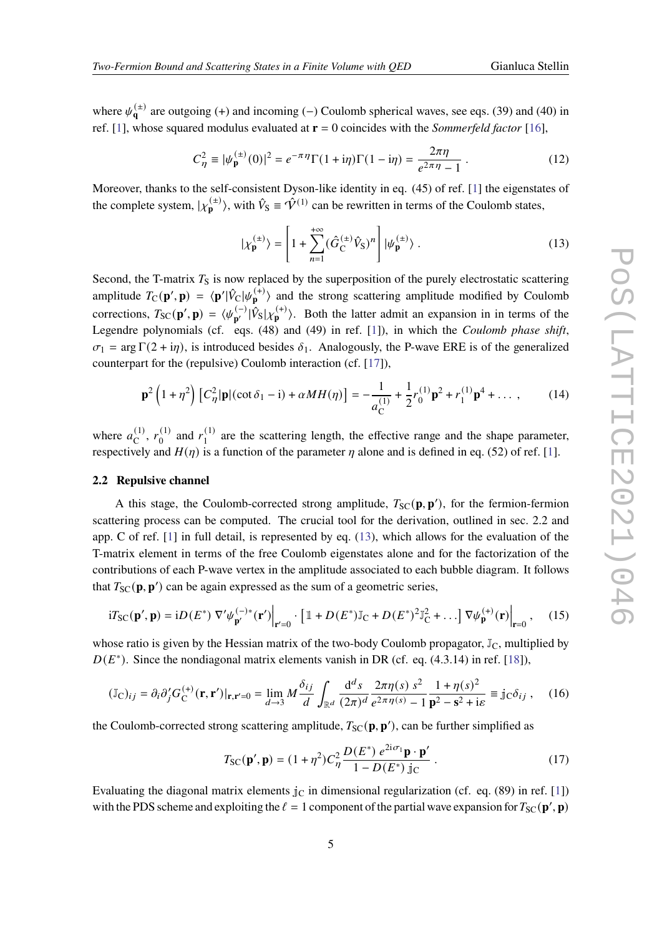where  $\psi_{\mathbf{q}}^{(\pm)}$  are outgoing (+) and incoming (-) Coulomb spherical waves, see eqs. (39) and (40) in ref. [\[1\]](#page-9-0), whose squared modulus evaluated at **r** = 0 coincides with the *Sommerfeld factor* [\[16\]](#page-10-9),

$$
C_{\eta}^{2} \equiv |\psi_{\mathbf{p}}^{(\pm)}(0)|^{2} = e^{-\pi \eta} \Gamma(1 + i\eta) \Gamma(1 - i\eta) = \frac{2\pi \eta}{e^{2\pi \eta} - 1}.
$$
 (12)

Moreover, thanks to the self-consistent Dyson-like identity in eq. (45) of ref. [\[1\]](#page-9-0) the eigenstates of the complete system,  $|\chi_{\mathbf{p}}^{(\pm)}\rangle$  $\hat{\bf p}^{(\pm)}$ ), with  $\hat{V}_S \equiv \hat{V}^{(1)}$  can be rewritten in terms of the Coulomb states,

<span id="page-4-0"></span>
$$
|\chi_{\mathbf{p}}^{(\pm)}\rangle = \left[1 + \sum_{n=1}^{+\infty} (\hat{G}_{\mathbf{C}}^{(\pm)} \hat{V}_{\mathbf{S}})^n\right] |\psi_{\mathbf{p}}^{(\pm)}\rangle. \tag{13}
$$

Second, the T-matrix  $T<sub>S</sub>$  is now replaced by the superposition of the purely electrostatic scattering amplitude  $T_{\rm C}(\mathbf{p}', \mathbf{p}) = \langle \mathbf{p}' | \hat{V}_{\rm C} | \psi_{\mathbf{p}}^{(+)} \rangle$  $\binom{(+)}{p}$  and the strong scattering amplitude modified by Coulomb corrections,  $T_{SC}(\mathbf{p}', \mathbf{p}) = \langle \psi_{\mathbf{p}'}^{(-)} \rangle$  $\frac{(-)}{p'}|\hat{V}_{S}|\chi_{p}^{(+)}$  $\binom{(+)}{p}$ . Both the latter admit an expansion in in terms of the Legendre polynomials (cf. eqs. (48) and (49) in ref. [\[1\]](#page-9-0)), in which the *Coulomb phase shift*,  $\sigma_1$  = arg  $\Gamma(2 + i\eta)$ , is introduced besides  $\delta_1$ . Analogously, the P-wave ERE is of the generalized counterpart for the (repulsive) Coulomb interaction (cf. [\[17\]](#page-10-10)),

<span id="page-4-1"></span>
$$
\mathbf{p}^{2}\left(1+\eta^{2}\right)\left[C_{\eta}^{2}|\mathbf{p}|(\cot\delta_{1}-\mathrm{i})+\alpha M H(\eta)\right]=-\frac{1}{a_{\mathrm{C}}^{(1)}}+\frac{1}{2}r_{0}^{(1)}\mathbf{p}^{2}+r_{1}^{(1)}\mathbf{p}^{4}+\dots\,,\qquad(14)
$$

where  $a_C^{(1)}$  $\binom{1}{C}, r_0^{(1)}$  $r_0^{(1)}$  and  $r_1^{(1)}$  $1<sup>(1)</sup>$  are the scattering length, the effective range and the shape parameter, respectively and  $H(\eta)$  is a function of the parameter  $\eta$  alone and is defined in eq. (52) of ref. [\[1\]](#page-9-0).

### **2.2 Repulsive channel**

A this stage, the Coulomb-corrected strong amplitude,  $T_{SC}(\mathbf{p}, \mathbf{p}')$ , for the fermion-fermion scattering process can be computed. The crucial tool for the derivation, outlined in sec. 2.2 and app. C of ref. [\[1\]](#page-9-0) in full detail, is represented by eq. [\(13\)](#page-4-0), which allows for the evaluation of the T-matrix element in terms of the free Coulomb eigenstates alone and for the factorization of the contributions of each P-wave vertex in the amplitude associated to each bubble diagram. It follows that  $T_{SC}(\mathbf{p}, \mathbf{p}')$  can be again expressed as the sum of a geometric series,

$$
i T_{\rm SC}(\mathbf{p}', \mathbf{p}) = i D(E^*) \nabla' \psi_{\mathbf{p}'}^{(-)*}(\mathbf{r}') \Big|_{\mathbf{r}'=0} \cdot \left[ \mathbbm{1} + D(E^*) \mathbb{J}_C + D(E^*)^2 \mathbb{J}_C^2 + \dots \right] \nabla \psi_{\mathbf{p}}^{(+)}(\mathbf{r}) \Big|_{\mathbf{r}=0}, \quad (15)
$$

whose ratio is given by the Hessian matrix of the two-body Coulomb propagator,  $\mathbb{J}_C$ , multiplied by  $D(E^*)$ . Since the nondiagonal matrix elements vanish in DR (cf. eq. (4.3.14) in ref. [\[18\]](#page-10-11)),

$$
(\mathbb{J}_{\mathcal{C}})_{ij} = \partial_i \partial'_j G_{\mathcal{C}}^{(+)}(\mathbf{r}, \mathbf{r}')|_{\mathbf{r}, \mathbf{r}'=0} = \lim_{d \to 3} M \frac{\delta_{ij}}{d} \int_{\mathbb{R}^d} \frac{d^d s}{(2\pi)^d} \frac{2\pi \eta(s) s^2}{e^{2\pi \eta(s)} - 1} \frac{1 + \eta(s)^2}{\mathbf{p}^2 - \mathbf{s}^2 + i\varepsilon} \equiv j_{\mathcal{C}} \delta_{ij} , \quad (16)
$$

the Coulomb-corrected strong scattering amplitude,  $T_{SC}(\mathbf{p}, \mathbf{p}')$ , can be further simplified as

<span id="page-4-2"></span>
$$
T_{\rm SC}(\mathbf{p}',\mathbf{p}) = (1+\eta^2)C_{\eta}^2 \frac{D(E^*) e^{2i\sigma_1}\mathbf{p}\cdot\mathbf{p}'}{1-D(E^*)\mathbf{j}\mathbf{c}}.
$$
 (17)

Evaluating the diagonal matrix elements  $j<sub>C</sub>$  in dimensional regularization (cf. eq. (89) in ref. [\[1\]](#page-9-0)) with the PDS scheme and exploiting the  $\ell = 1$  component of the partial wave expansion for  $T_{SC}(\mathbf{p}', \mathbf{p})$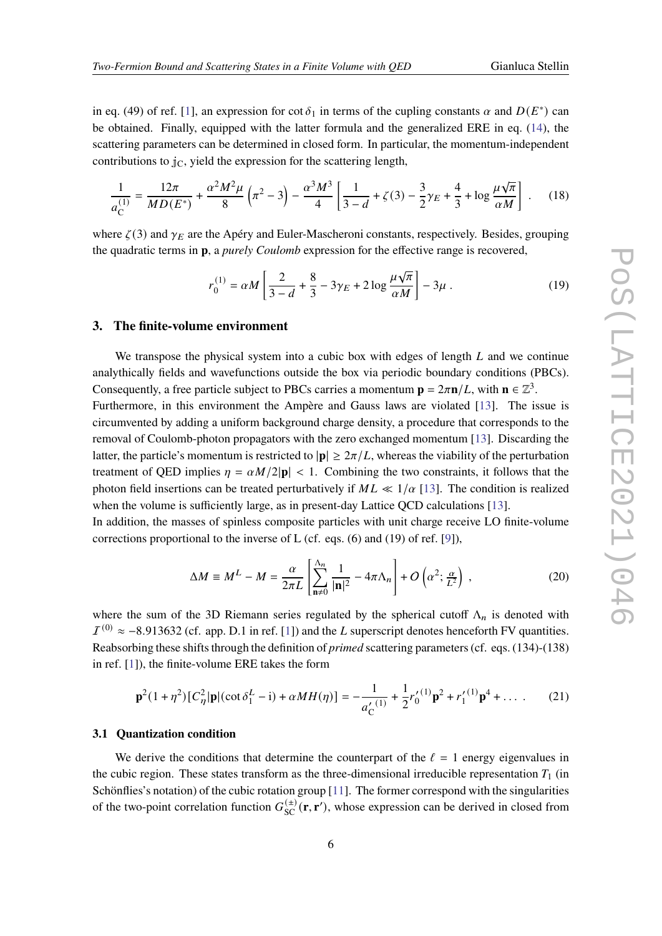in eq. (49) of ref. [\[1\]](#page-9-0), an expression for cot  $\delta_1$  in terms of the cupling constants  $\alpha$  and  $D(E^*)$  can be obtained. Finally, equipped with the latter formula and the generalized ERE in eq. [\(14\)](#page-4-1), the scattering parameters can be determined in closed form. In particular, the momentum-independent contributions to  $j_{\rm C}$ , yield the expression for the scattering length,

$$
\frac{1}{a_{\text{C}}^{(1)}} = \frac{12\pi}{MD(E^*)} + \frac{\alpha^2 M^2 \mu}{8} \left(\pi^2 - 3\right) - \frac{\alpha^3 M^3}{4} \left[\frac{1}{3 - d} + \zeta(3) - \frac{3}{2}\gamma_E + \frac{4}{3} + \log\frac{\mu\sqrt{\pi}}{\alpha M}\right] \,. \tag{18}
$$

where  $\zeta(3)$  and  $\gamma_E$  are the Apéry and Euler-Mascheroni constants, respectively. Besides, grouping the quadratic terms in **p**, a *purely Coulomb* expression for the effective range is recovered,

$$
r_0^{(1)} = \alpha M \left[ \frac{2}{3 - d} + \frac{8}{3} - 3\gamma_E + 2 \log \frac{\mu \sqrt{\pi}}{\alpha M} \right] - 3\mu \,. \tag{19}
$$

### <span id="page-5-0"></span>**3. The finite-volume environment**

We transpose the physical system into a cubic box with edges of length  $L$  and we continue analythically fields and wavefunctions outside the box via periodic boundary conditions (PBCs). Consequently, a free particle subject to PBCs carries a momentum  $\mathbf{p} = 2\pi \mathbf{n}/L$ , with  $\mathbf{n} \in \mathbb{Z}^3$ .

Furthermore, in this environment the Ampère and Gauss laws are violated [\[13\]](#page-10-6). The issue is circumvented by adding a uniform background charge density, a procedure that corresponds to the removal of Coulomb-photon propagators with the zero exchanged momentum [\[13\]](#page-10-6). Discarding the latter, the particle's momentum is restricted to  $|\mathbf{p}| \geq 2\pi/L$ , whereas the viability of the perturbation treatment of QED implies  $\eta = \alpha M/2|\mathbf{p}| < 1$ . Combining the two constraints, it follows that the photon field insertions can be treated perturbatively if  $ML \ll 1/\alpha$  [\[13\]](#page-10-6). The condition is realized when the volume is sufficiently large, as in present-day Lattice OCD calculations [\[13\]](#page-10-6).

In addition, the masses of spinless composite particles with unit charge receive LO finite-volume corrections proportional to the inverse of L (cf. eqs. (6) and (19) of ref. [\[9\]](#page-10-2)),

$$
\Delta M \equiv M^L - M = \frac{\alpha}{2\pi L} \left[ \sum_{\mathbf{n}\neq 0}^{\Lambda_n} \frac{1}{|\mathbf{n}|^2} - 4\pi \Lambda_n \right] + O\left(\alpha^2; \frac{\alpha}{L^2}\right) ,\qquad (20)
$$

where the sum of the 3D Riemann series regulated by the spherical cutoff  $\Lambda_n$  is denoted with  $I^{(0)} \approx -8.913632$  (cf. app. D.1 in ref. [\[1\]](#page-9-0)) and the L superscript denotes henceforth FV quantities. Reabsorbing these shifts through the definition of *primed* scattering parameters (cf. eqs. (134)-(138) in ref. [\[1\]](#page-9-0)), the finite-volume ERE takes the form

<span id="page-5-1"></span>
$$
\mathbf{p}^{2}(1+\eta^{2})[C_{\eta}^{2}|\mathbf{p}|(\cot\delta_{1}^{L}-\mathbf{i})+\alpha M H(\eta)] = -\frac{1}{a_{\mathbb{C}}'(1)} + \frac{1}{2}r_{0}'^{(1)}\mathbf{p}^{2} + r_{1}'^{(1)}\mathbf{p}^{4} + \dots
$$
 (21)

### **3.1 Quantization condition**

We derive the conditions that determine the counterpart of the  $\ell = 1$  energy eigenvalues in the cubic region. These states transform as the three-dimensional irreducible representation  $T_1$  (in Schönflies's notation) of the cubic rotation group [\[11\]](#page-10-4). The former correspond with the singularities of the two-point correlation function  $G_{SC}^{(\pm)}(\mathbf{r}, \mathbf{r}')$ , whose expression can be derived in closed from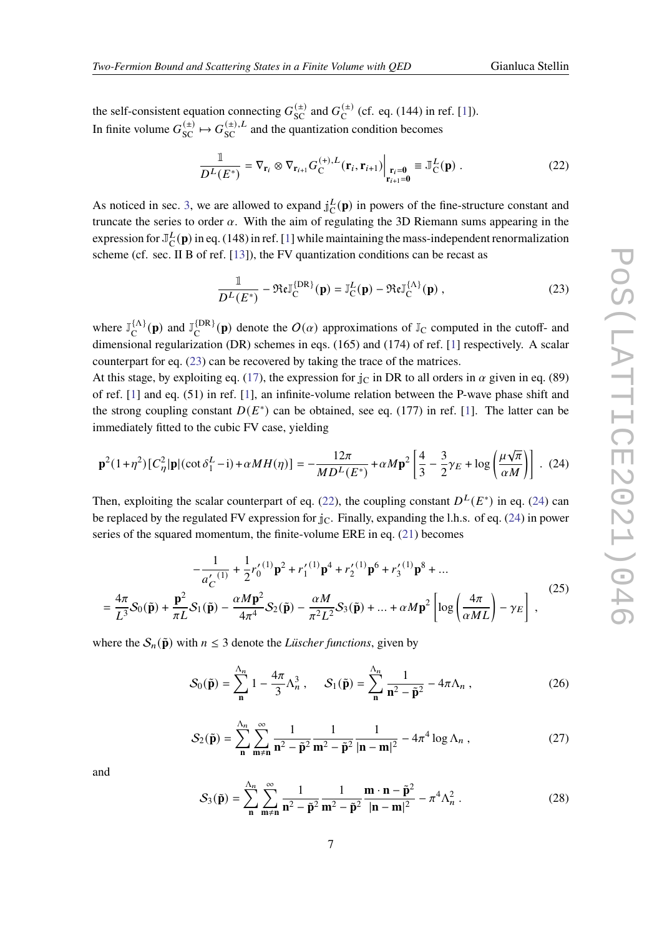the self-consistent equation connecting  $G_{SC}^{(\pm)}$  and  $G_C^{(\pm)}$  $\int_{C}^{(\pm)}$  (cf. eq. (144) in ref. [\[1\]](#page-9-0)). In finite volume  $G_{SC}^{(\pm)} \mapsto G_{SC}^{(\pm),L}$  and the quantization condition becomes

<span id="page-6-1"></span>
$$
\frac{\mathbb{1}}{D^L(E^*)} = \nabla_{\mathbf{r}_i} \otimes \nabla_{\mathbf{r}_{i+1}} G_C^{(+),L}(\mathbf{r}_i, \mathbf{r}_{i+1}) \Big|_{\substack{\mathbf{r}_i = \mathbf{0} \\ \mathbf{r}_{i+1} = \mathbf{0}}} \equiv \mathbb{J}_C^L(\mathbf{p}) .
$$
\n(22)

As noticed in sec. [3,](#page-5-0) we are allowed to expand  $j_C^L$  $L<sup>L</sup>(p)$  in powers of the fine-structure constant and truncate the series to order  $\alpha$ . With the aim of regulating the 3D Riemann sums appearing in the expression for  $\mathbb{J}_{\mathbb{C}}^L$  $L^L$ (**p**) in eq. (148) in ref. [\[1\]](#page-9-0) while maintaining the mass-independent renormalization scheme (cf. sec. II B of ref. [\[13\]](#page-10-6)), the FV quantization conditions can be recast as

<span id="page-6-0"></span>
$$
\frac{\mathbb{1}}{D^L(E^*)} - \Re\epsilon \mathbb{J}_{\mathcal{C}}^{\{\mathcal{D}\mathcal{R}\}}(\mathbf{p}) = \mathbb{J}_{\mathcal{C}}^L(\mathbf{p}) - \Re\epsilon \mathbb{J}_{\mathcal{C}}^{\{\Lambda\}}(\mathbf{p}),
$$
\n(23)

where  $\mathbb{J}_{\Gamma}^{\{\Lambda\}}$  $\mathcal{L}^{\{\Lambda\}}_{\mathbf{C}}(\mathbf{p})$  and  $\mathbb{J}_{\mathbf{C}}^{\{\mathrm{DR}\}}$  ${}_{\text{C}}^{\text{[DR]}}(\mathbf{p})$  denote the  $O(\alpha)$  approximations of  $\mathbb{J}_{\text{C}}$  computed in the cutoff- and dimensional regularization (DR) schemes in eqs. (165) and (174) of ref. [\[1\]](#page-9-0) respectively. A scalar counterpart for eq. [\(23\)](#page-6-0) can be recovered by taking the trace of the matrices.

At this stage, by exploiting eq. [\(17\)](#page-4-2), the expression for  $\rm j_{C}$  in DR to all orders in  $\alpha$  given in eq. (89) of ref. [\[1\]](#page-9-0) and eq. (51) in ref. [\[1\]](#page-9-0), an infinite-volume relation between the P-wave phase shift and the strong coupling constant  $D(E^*)$  can be obtained, see eq. (177) in ref. [\[1\]](#page-9-0). The latter can be immediately fitted to the cubic FV case, yielding

<span id="page-6-2"></span>
$$
\mathbf{p}^{2}(1+\eta^{2})[C_{\eta}^{2}|\mathbf{p}|(\cot\delta_{1}^{L}-\mathbf{i})+\alpha M H(\eta)] = -\frac{12\pi}{MD^{L}(E^{*})}+\alpha M \mathbf{p}^{2} \left[\frac{4}{3}-\frac{3}{2}\gamma_{E}+\log\left(\frac{\mu\sqrt{\pi}}{\alpha M}\right)\right].
$$
 (24)

Then, exploiting the scalar counterpart of eq. [\(22\)](#page-6-1), the coupling constant  $D^{L}(E^*)$  in eq. [\(24\)](#page-6-2) can be replaced by the regulated FV expression for  $j<sub>C</sub>$ . Finally, expanding the l.h.s. of eq. [\(24\)](#page-6-2) in power series of the squared momentum, the finite-volume ERE in eq. [\(21\)](#page-5-1) becomes

<span id="page-6-3"></span>
$$
-\frac{1}{a'_{C}^{(1)}} + \frac{1}{2}r'_{0}^{(1)}\mathbf{p}^{2} + r'_{1}^{(1)}\mathbf{p}^{4} + r'_{2}^{(1)}\mathbf{p}^{6} + r'_{3}^{(1)}\mathbf{p}^{8} + \dots
$$
  
=  $\frac{4\pi}{L^{3}}S_{0}(\tilde{\mathbf{p}}) + \frac{\mathbf{p}^{2}}{\pi L}S_{1}(\tilde{\mathbf{p}}) - \frac{\alpha M \mathbf{p}^{2}}{4\pi^{4}}S_{2}(\tilde{\mathbf{p}}) - \frac{\alpha M}{\pi^{2}L^{2}}S_{3}(\tilde{\mathbf{p}}) + \dots + \alpha M \mathbf{p}^{2} \left[ \log \left( \frac{4\pi}{\alpha ML} \right) - \gamma_{E} \right],$  (25)

where the  $S_n(\tilde{\bf{p}})$  with  $n \leq 3$  denote the *Lüscher functions*, given by

<span id="page-6-5"></span>
$$
\mathcal{S}_0(\tilde{\mathbf{p}}) = \sum_{\mathbf{n}}^{\Lambda_n} 1 - \frac{4\pi}{3} \Lambda_n^3, \quad \mathcal{S}_1(\tilde{\mathbf{p}}) = \sum_{\mathbf{n}}^{\Lambda_n} \frac{1}{\mathbf{n}^2 - \tilde{\mathbf{p}}^2} - 4\pi \Lambda_n ,
$$
 (26)

$$
\mathcal{S}_2(\tilde{\mathbf{p}}) = \sum_{\mathbf{n}}^{\Lambda_n} \sum_{\mathbf{m} \neq \mathbf{n}}^{\infty} \frac{1}{\mathbf{n}^2 - \tilde{\mathbf{p}}^2} \frac{1}{\mathbf{m}^2 - \tilde{\mathbf{p}}^2} \frac{1}{|\mathbf{n} - \mathbf{m}|^2} - 4\pi^4 \log \Lambda_n , \qquad (27)
$$

and

<span id="page-6-4"></span>
$$
\mathcal{S}_3(\tilde{\mathbf{p}}) = \sum_{\mathbf{n}}^{\Lambda_n} \sum_{\mathbf{m} \neq \mathbf{n}}^{\infty} \frac{1}{\mathbf{n}^2 - \tilde{\mathbf{p}}^2} \frac{1}{\mathbf{m}^2 - \tilde{\mathbf{p}}^2} \frac{\mathbf{m} \cdot \mathbf{n} - \tilde{\mathbf{p}}^2}{|\mathbf{n} - \mathbf{m}|^2} - \pi^4 \Lambda_n^2 \,. \tag{28}
$$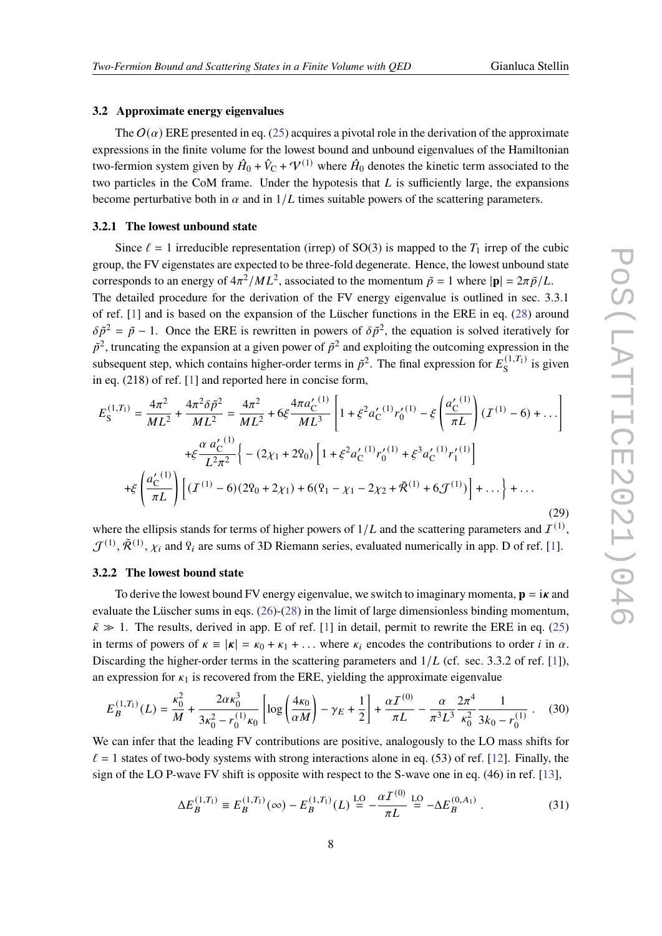### **3.2 Approximate energy eigenvalues**

The  $O(\alpha)$  ERE presented in eq. [\(25\)](#page-6-3) acquires a pivotal role in the derivation of the approximate expressions in the finite volume for the lowest bound and unbound eigenvalues of the Hamiltonian two-fermion system given by  $\hat{H}_0 + \hat{V}_C + \mathcal{V}^{(1)}$  where  $\hat{H}_0$  denotes the kinetic term associated to the two particles in the CoM frame. Under the hypotesis that  $L$  is sufficiently large, the expansions become perturbative both in  $\alpha$  and in  $1/L$  times suitable powers of the scattering parameters.

### <span id="page-7-0"></span>**3.2.1 The lowest unbound state**

Since  $\ell = 1$  irreducible representation (irrep) of SO(3) is mapped to the  $T_1$  irrep of the cubic group, the FV eigenstates are expected to be three-fold degenerate. Hence, the lowest unbound state corresponds to an energy of  $4\pi^2/ML^2$ , associated to the momentum  $\tilde{p} = 1$  where  $|\mathbf{p}| = 2\pi \tilde{p}/L$ . The detailed procedure for the derivation of the FV energy eigenvalue is outlined in sec. 3.3.1 of ref. [\[1\]](#page-9-0) and is based on the expansion of the Lüscher functions in the ERE in eq. [\(28\)](#page-6-4) around  $\delta \tilde{p}^2 = \tilde{p} - 1$ . Once the ERE is rewritten in powers of  $\delta \tilde{p}^2$ , the equation is solved iteratively for  $\tilde{p}^2$ , truncating the expansion at a given power of  $\tilde{p}^2$  and exploiting the outcoming expression in the subsequent step, which contains higher-order terms in  $\tilde{p}^2$ . The final expression for  $E_S^{(1,T_1)}$  $s^{(1,1)}$  is given in eq. (218) of ref. [\[1\]](#page-9-0) and reported here in concise form,

$$
E_{\rm S}^{(1,T_1)} = \frac{4\pi^2}{ML^2} + \frac{4\pi^2 \delta \tilde{p}^2}{ML^2} = \frac{4\pi^2}{ML^2} + 6\xi \frac{4\pi a_{\rm C}'^{(1)}}{ML^3} \left[ 1 + \xi^2 a_{\rm C}'^{(1)} r_0'^{(1)} - \xi \left( \frac{a_{\rm C}'^{(1)}}{\pi L} \right) (T^{(1)} - 6) + \dots \right]
$$
  
+
$$
\xi \frac{\alpha a_{\rm C}'^{(1)}}{L^2 \pi^2} \left\{ - (2\chi_1 + 2\varrho_0) \left[ 1 + \xi^2 a_{\rm C}'^{(1)} r_0'^{(1)} + \xi^3 a_{\rm C}'^{(1)} r_1'^{(1)} \right] + \xi \left( \frac{a_{\rm C}'^{(1)}}{\pi L} \right) \left[ (T^{(1)} - 6)(2\varrho_0 + 2\chi_1) + 6(2\varrho_1 - \chi_1 - 2\chi_2 + \tilde{\mathcal{R}}^{(1)} + 6\mathcal{F}^{(1)}) \right] + \dots \right\} + \dots
$$
(29)

where the ellipsis stands for terms of higher powers of  $1/L$  and the scattering parameters and  $I^{(1)}$ ,  $\mathcal{J}^{(1)}, \tilde{\mathcal{R}}^{(1)}, \chi_i$  and  $\Omega_i$  are sums of 3D Riemann series, evaluated numerically in app. D of ref. [\[1\]](#page-9-0).

### **3.2.2 The lowest bound state**

To derive the lowest bound FV energy eigenvalue, we switch to imaginary momenta,  $\mathbf{p} = i\mathbf{x}$  and evaluate the Lüscher sums in eqs. [\(26\)](#page-6-5)-[\(28\)](#page-6-4) in the limit of large dimensionless binding momentum,  $\tilde{\kappa} \gg 1$ . The results, derived in app. E of ref. [\[1\]](#page-9-0) in detail, permit to rewrite the ERE in eq. [\(25\)](#page-6-3) in terms of powers of  $\kappa = |\kappa| = \kappa_0 + \kappa_1 + \dots$  where  $\kappa_i$  encodes the contributions to order *i* in  $\alpha$ . Discarding the higher-order terms in the scattering parameters and  $1/L$  (cf. sec. 3.3.2 of ref. [\[1\]](#page-9-0)), an expression for  $\kappa_1$  is recovered from the ERE, yielding the approximate eigenvalue

$$
E_B^{(1,T_1)}(L) = \frac{\kappa_0^2}{M} + \frac{2\alpha\kappa_0^3}{3\kappa_0^2 - r_0^{(1)}\kappa_0} \left[ \log\left(\frac{4\kappa_0}{\alpha M}\right) - \gamma_E + \frac{1}{2} \right] + \frac{\alpha\mathcal{I}^{(0)}}{\pi L} - \frac{\alpha}{\pi^3 L^3} \frac{2\pi^4}{\kappa_0^2} \frac{1}{3k_0 - r_0^{(1)}} \,. \tag{30}
$$

We can infer that the leading FV contributions are positive, analogously to the LO mass shifts for  $\ell = 1$  states of two-body systems with strong interactions alone in eq. (53) of ref. [\[12\]](#page-10-5). Finally, the sign of the LO P-wave FV shift is opposite with respect to the S-wave one in eq. (46) in ref. [\[13\]](#page-10-6),

$$
\Delta E_B^{(1,T_1)} \equiv E_B^{(1,T_1)}(\infty) - E_B^{(1,T_1)}(L) \stackrel{\text{LO}}{=} -\frac{\alpha \mathcal{I}^{(0)}}{\pi L} \stackrel{\text{LO}}{=} -\Delta E_B^{(0,A_1)} \tag{31}
$$

 $\sim$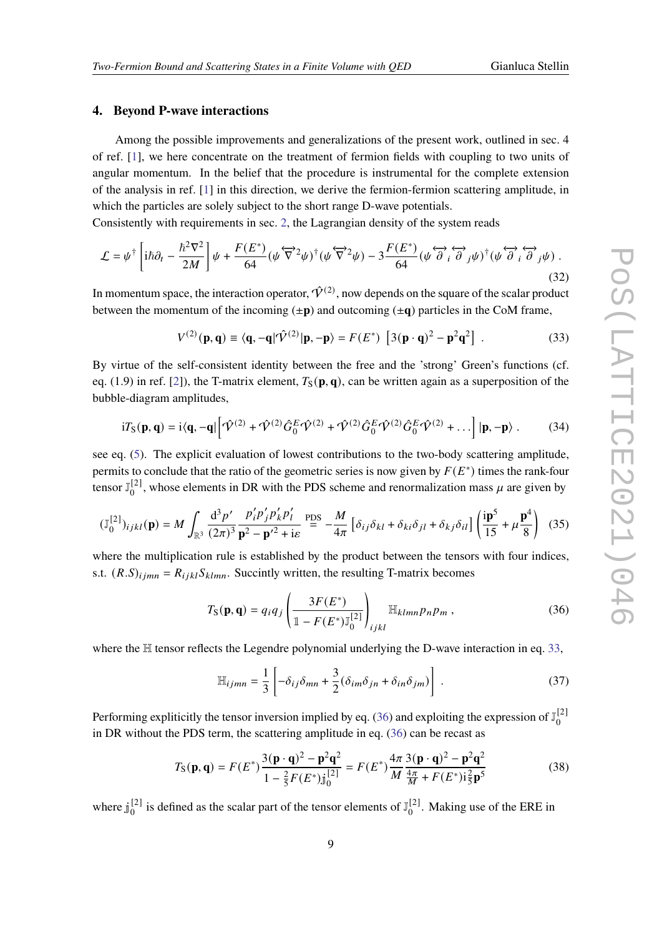# **4. Beyond P-wave interactions**

Among the possible improvements and generalizations of the present work, outlined in sec. 4 of ref. [\[1\]](#page-9-0), we here concentrate on the treatment of fermion fields with coupling to two units of angular momentum. In the belief that the procedure is instrumental for the complete extension of the analysis in ref. [\[1\]](#page-9-0) in this direction, we derive the fermion-fermion scattering amplitude, in which the particles are solely subject to the short range D-wave potentials.

Consistently with requirements in sec. [2,](#page-1-0) the Lagrangian density of the system reads

$$
\mathcal{L} = \psi^{\dagger} \left[ i\hbar \partial_t - \frac{\hbar^2 \nabla^2}{2M} \right] \psi + \frac{F(E^*)}{64} (\psi \overleftrightarrow{\nabla}^2 \psi)^{\dagger} (\psi \overleftrightarrow{\nabla}^2 \psi) - 3 \frac{F(E^*)}{64} (\psi \overleftrightarrow{\partial}_i \overleftrightarrow{\partial}_j \psi)^{\dagger} (\psi \overleftrightarrow{\partial}_i \overleftrightarrow{\partial}_j \psi).
$$
\n(32)

In momentum space, the interaction operator,  $\hat{V}^{(2)}$ , now depends on the square of the scalar product between the momentum of the incoming  $(\pm \mathbf{p})$  and outcoming  $(\pm \mathbf{q})$  particles in the CoM frame,

<span id="page-8-0"></span>
$$
V^{(2)}(\mathbf{p}, \mathbf{q}) \equiv \langle \mathbf{q}, -\mathbf{q} | \hat{\mathbf{V}}^{(2)} | \mathbf{p}, -\mathbf{p} \rangle = F(E^*) \left[ 3(\mathbf{p} \cdot \mathbf{q})^2 - \mathbf{p}^2 \mathbf{q}^2 \right] . \tag{33}
$$

By virtue of the self-consistent identity between the free and the 'strong' Green's functions (cf. eq. (1.9) in ref. [\[2\]](#page-9-1)), the T-matrix element,  $T_S(\mathbf{p}, \mathbf{q})$ , can be written again as a superposition of the bubble-diagram amplitudes,

$$
i T_S(\mathbf{p}, \mathbf{q}) = i \langle \mathbf{q}, -\mathbf{q} | \left[ \hat{\mathbf{\mathcal{V}}}^{(2)} + \hat{\mathbf{\mathcal{V}}}^{(2)} \hat{G}_0^E \hat{\mathbf{\mathcal{V}}}^{(2)} + \hat{\mathbf{\mathcal{V}}}^{(2)} \hat{G}_0^E \hat{\mathbf{\mathcal{V}}}^{(2)} \hat{G}_0^E \hat{\mathbf{\mathcal{V}}}^{(2)} + \dots \right] |\mathbf{p}, -\mathbf{p} \rangle. \tag{34}
$$

see eq. [\(5\)](#page-2-5). The explicit evaluation of lowest contributions to the two-body scattering amplitude, permits to conclude that the ratio of the geometric series is now given by  $F(E^*)$  times the rank-four tensor  $\mathbb{J}_{0}^{[2]}$  $\binom{[2]}{0}$ , whose elements in DR with the PDS scheme and renormalization mass  $\mu$  are given by

<span id="page-8-2"></span>
$$
(\mathbb{J}_{0}^{[2]})_{ijkl}(\mathbf{p}) = M \int_{\mathbb{R}^{3}} \frac{\mathrm{d}^{3} p'}{(2\pi)^{3}} \frac{p'_{i} p'_{j} p'_{k} p'_{l}}{\mathbf{p}^{2} - \mathbf{p}'^{2} + \mathrm{i}\varepsilon} \stackrel{\text{PDS}}{=} -\frac{M}{4\pi} \left[ \delta_{ij} \delta_{kl} + \delta_{ki} \delta_{jl} + \delta_{kj} \delta_{il} \right] \left( \frac{\mathrm{i}\mathbf{p}^{5}}{15} + \mu \frac{\mathbf{p}^{4}}{8} \right) \tag{35}
$$

where the multiplication rule is established by the product between the tensors with four indices, s.t.  $(R.S)_{i\,imn} = R_{i\,ikl}S_{klmn}$ . Succintly written, the resulting T-matrix becomes

<span id="page-8-1"></span>
$$
T_{\mathbf{S}}(\mathbf{p}, \mathbf{q}) = q_i q_j \left( \frac{3F(E^*)}{1 - F(E^*) \mathbb{J}_0^{[2]}} \right)_{ijkl} \mathbb{H}_{klmn} p_n p_m ,
$$
 (36)

where the H tensor reflects the Legendre polynomial underlying the D-wave interaction in eq. [33,](#page-8-0)

$$
\mathbb{H}_{ijmn} = \frac{1}{3} \left[ -\delta_{ij}\delta_{mn} + \frac{3}{2} (\delta_{im}\delta_{jn} + \delta_{in}\delta_{jm}) \right] . \tag{37}
$$

Performing expliticitly the tensor inversion implied by eq. [\(36\)](#page-8-1) and exploiting the expression of  $\mathbb{J}_0^{[2]}$  $\mathbf 0$ in DR without the PDS term, the scattering amplitude in eq. [\(36\)](#page-8-1) can be recast as

$$
T_{\rm S}(\mathbf{p}, \mathbf{q}) = F(E^*) \frac{3(\mathbf{p} \cdot \mathbf{q})^2 - \mathbf{p}^2 \mathbf{q}^2}{1 - \frac{2}{5} F(E^*) \mathbf{j}_0^{[2]}} = F(E^*) \frac{4\pi}{M} \frac{3(\mathbf{p} \cdot \mathbf{q})^2 - \mathbf{p}^2 \mathbf{q}^2}{\frac{4\pi}{M} + F(E^*) \mathbf{i}_5^2 \mathbf{p}^5}
$$
(38)

where  $j_0^{[2]}$  $\binom{[2]}{0}$  is defined as the scalar part of the tensor elements of  $\mathbb{J}_{0}^{[2]}$  $_0^{[2]}$ . Making use of the ERE in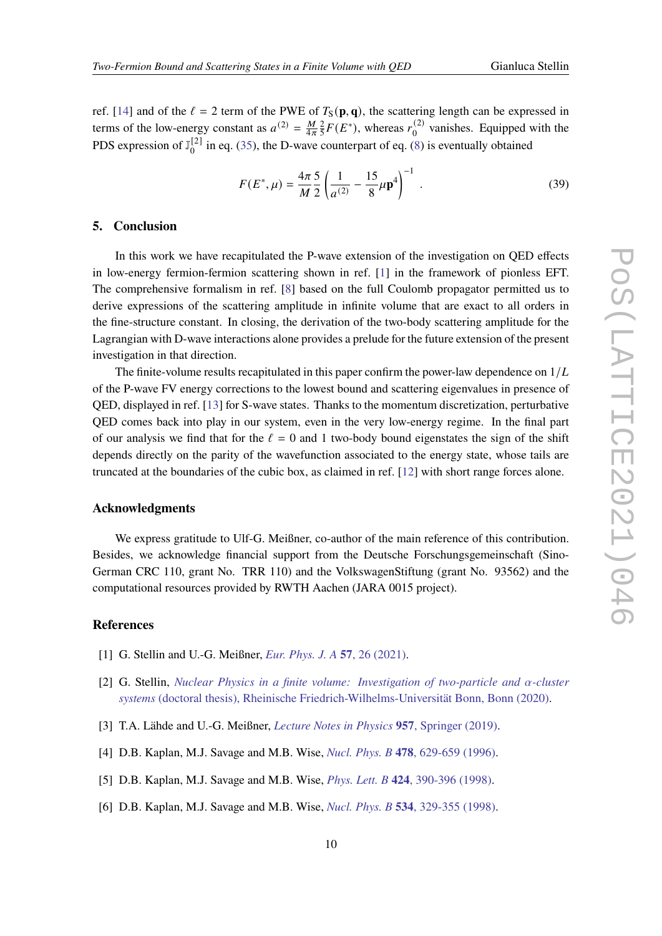ref. [\[14\]](#page-10-7) and of the  $\ell = 2$  term of the PWE of  $T_S(\mathbf{p}, \mathbf{q})$ , the scattering length can be expressed in terms of the low-energy constant as  $a^{(2)} = \frac{M}{4\pi}$  $\frac{M}{4\pi}$  $\frac{2}{5}$  $\frac{2}{5}F(E^*)$ , whereas  $r_0^{(2)}$  $_0^{(2)}$  vanishes. Equipped with the PDS expression of  $\mathbb{J}_{0}^{[2]}$  $_{0}^{121}$  in eq. [\(35\)](#page-8-2), the D-wave counterpart of eq. [\(8\)](#page-3-3) is eventually obtained

$$
F(E^*, \mu) = \frac{4\pi}{M} \frac{5}{2} \left( \frac{1}{a^{(2)}} - \frac{15}{8} \mu \mathbf{p}^4 \right)^{-1} . \tag{39}
$$

## **5. Conclusion**

In this work we have recapitulated the P-wave extension of the investigation on QED effects in low-energy fermion-fermion scattering shown in ref. [\[1\]](#page-9-0) in the framework of pionless EFT. The comprehensive formalism in ref. [\[8\]](#page-10-0) based on the full Coulomb propagator permitted us to derive expressions of the scattering amplitude in infinite volume that are exact to all orders in the fine-structure constant. In closing, the derivation of the two-body scattering amplitude for the Lagrangian with D-wave interactions alone provides a prelude for the future extension of the present investigation in that direction.

The finite-volume results recapitulated in this paper confirm the power-law dependence on  $1/L$ of the P-wave FV energy corrections to the lowest bound and scattering eigenvalues in presence of QED, displayed in ref. [\[13\]](#page-10-6) for S-wave states. Thanks to the momentum discretization, perturbative QED comes back into play in our system, even in the very low-energy regime. In the final part of our analysis we find that for the  $\ell = 0$  and 1 two-body bound eigenstates the sign of the shift depends directly on the parity of the wavefunction associated to the energy state, whose tails are truncated at the boundaries of the cubic box, as claimed in ref. [\[12\]](#page-10-5) with short range forces alone.

### **Acknowledgments**

We express gratitude to Ulf-G. Meißner, co-author of the main reference of this contribution. Besides, we acknowledge financial support from the Deutsche Forschungsgemeinschaft (Sino-German CRC 110, grant No. TRR 110) and the VolkswagenStiftung (grant No. 93562) and the computational resources provided by RWTH Aachen (JARA 0015 project).

# **References**

- <span id="page-9-0"></span>[1] G. Stellin and U.-G. Meißner, *[Eur. Phys. J. A](https://epja.epj.org/articles/epja/abs/2021/01/10050_2020_Article_319/10050_2020_Article_319.html)* **57**, 26 (2021).
- <span id="page-9-1"></span>[2] G. Stellin, *[Nuclear Physics in a finite volume: Investigation of two-particle and](https://bonndoc.ulb.uni-bonn.de/xmlui/handle/20.500.11811/8892) -cluster systems* [\(doctoral thesis\), Rheinische Friedrich-Wilhelms-Universität Bonn, Bonn \(2020\).](https://bonndoc.ulb.uni-bonn.de/xmlui/handle/20.500.11811/8892)
- <span id="page-9-2"></span>[3] T.A. Lähde and U.-G. Meißner, *[Lecture Notes in Physics](https://link.springer.com/book/10.1007/978-3-030-14189-9)* **957**, Springer (2019).
- <span id="page-9-3"></span>[4] D.B. Kaplan, M.J. Savage and M.B. Wise, *Nucl. Phys. B* **478**[, 629-659 \(1996\).](https://www.sciencedirect.com/science/article/pii/0550321396003574?via%3Dihub)
- <span id="page-9-4"></span>[5] D.B. Kaplan, M.J. Savage and M.B. Wise, *Phys. Lett. B* **424**[, 390-396 \(1998\).](https://www.sciencedirect.com/science/article/pii/S037026939800210X?via%3Dihub)
- <span id="page-9-5"></span>[6] D.B. Kaplan, M.J. Savage and M.B. Wise, *Nucl. Phys. B* **534**[, 329-355 \(1998\).](https://www.sciencedirect.com/science/article/pii/S0550321398004404)